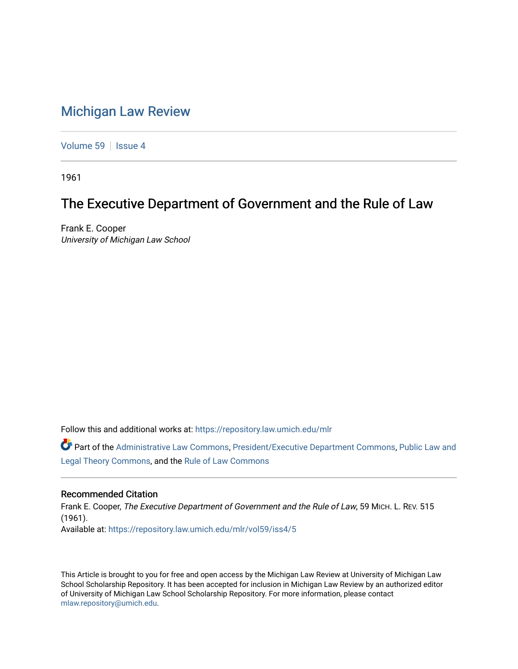# [Michigan Law Review](https://repository.law.umich.edu/mlr)

[Volume 59](https://repository.law.umich.edu/mlr/vol59) | [Issue 4](https://repository.law.umich.edu/mlr/vol59/iss4)

1961

# The Executive Department of Government and the Rule of Law

Frank E. Cooper University of Michigan Law School

Follow this and additional works at: [https://repository.law.umich.edu/mlr](https://repository.law.umich.edu/mlr?utm_source=repository.law.umich.edu%2Fmlr%2Fvol59%2Fiss4%2F5&utm_medium=PDF&utm_campaign=PDFCoverPages) 

Part of the [Administrative Law Commons,](http://network.bepress.com/hgg/discipline/579?utm_source=repository.law.umich.edu%2Fmlr%2Fvol59%2Fiss4%2F5&utm_medium=PDF&utm_campaign=PDFCoverPages) [President/Executive Department Commons,](http://network.bepress.com/hgg/discipline/1118?utm_source=repository.law.umich.edu%2Fmlr%2Fvol59%2Fiss4%2F5&utm_medium=PDF&utm_campaign=PDFCoverPages) [Public Law and](http://network.bepress.com/hgg/discipline/871?utm_source=repository.law.umich.edu%2Fmlr%2Fvol59%2Fiss4%2F5&utm_medium=PDF&utm_campaign=PDFCoverPages) [Legal Theory Commons,](http://network.bepress.com/hgg/discipline/871?utm_source=repository.law.umich.edu%2Fmlr%2Fvol59%2Fiss4%2F5&utm_medium=PDF&utm_campaign=PDFCoverPages) and the [Rule of Law Commons](http://network.bepress.com/hgg/discipline/1122?utm_source=repository.law.umich.edu%2Fmlr%2Fvol59%2Fiss4%2F5&utm_medium=PDF&utm_campaign=PDFCoverPages)

### Recommended Citation

Frank E. Cooper, The Executive Department of Government and the Rule of Law, 59 MICH. L. REV. 515 (1961). Available at: [https://repository.law.umich.edu/mlr/vol59/iss4/5](https://repository.law.umich.edu/mlr/vol59/iss4/5?utm_source=repository.law.umich.edu%2Fmlr%2Fvol59%2Fiss4%2F5&utm_medium=PDF&utm_campaign=PDFCoverPages)

This Article is brought to you for free and open access by the Michigan Law Review at University of Michigan Law School Scholarship Repository. It has been accepted for inclusion in Michigan Law Review by an authorized editor of University of Michigan Law School Scholarship Repository. For more information, please contact [mlaw.repository@umich.edu.](mailto:mlaw.repository@umich.edu)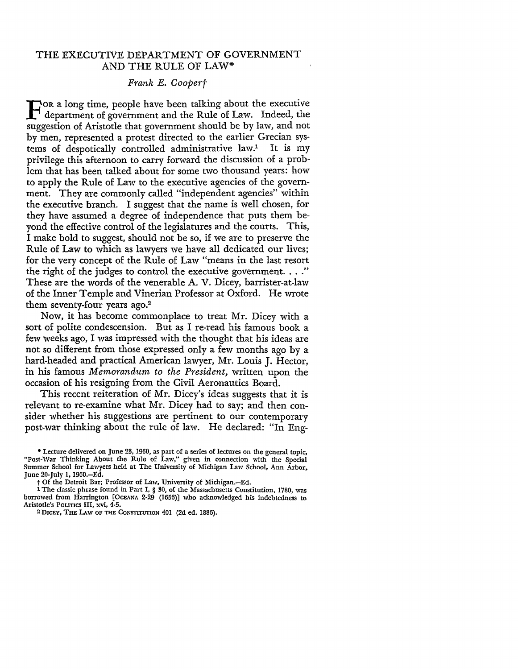### THE EXECUTIVE DEPARTMENT OF GOVERNMENT AND THE RULE OF LAW\*

#### *Frank E. Cooperf*

F OR a long time, people have been talking about the executive<br>department of government and the Rule of Law. Indeed, the<br>suggestion of Aristotle that government should be by law, and not suggestion of Aristotle that government should be by law, and not by men, represented a protest directed to the earlier Grecian systems of despotically controlled administrative law.1 It is my privilege this afternoon to carry fonvard the discussion of a problem that has been talked about for some two thousand years: how to apply the Rule of Law to the executive agencies of the government. They are commonly called "independent agencies" within the executive branch. I suggest that the name is well chosen, for they have assumed a degree of independence that puts them beyond the effective control of the legislatures and the courts. This, I make bold to suggest, should not be so, if we are to preserve the Rule of Law to which as lawyers we have all dedicated our lives; for the very concept of the Rule of Law "means in the last resort the right of the judges to control the executive government...." These are the words of the venerable A. V. Dicey, barrister-at-law of the Inner Temple and Vinerian Professor at Oxford. He wrote them seventy-four years ago.<sup>2</sup>

Now, it has become commonplace to treat Mr. Dicey with a sort of polite condescension. But as I re-read his famous book a few weeks ago, I was impressed with the thought that his ideas are not so different from those expressed only a few months ago by a hard-headed and practical American lawyer, Mr. Louis J. Hector, in his famous *Memorandum to the President,* written upon the occasion of his resigning from the Civil Aeronautics Board.

This recent reiteration of Mr. Dicey's ideas suggests that it is relevant to re-examine what Mr. Dicey had to say; and then consider whether his suggestions are pertinent to our contemporary post-war thinking about the rule of law. He declared: "In Eng-

<sup>•</sup> Lecture delivered on June 23, 1960, as part of a series of lectures on the general topic, "Post-War Thinking About the Rule of Law," given in connection with the Special Summer School for Lawyers held at The University of Michigan Law School, Ann Arbor. June 20-July I, 1960.-Ed.

t Of the Detroit Bar; Professor of Law, University of Michigan.-Ed.

<sup>1</sup> The classic phrase found in Part I, § 30, of the Massachusetts Constitution, 1780, was borrowed from Harrington [OCEANA 2-29 (1656)] who acknowledged his indebtedness to Aristotle's POLITICS III, xvi, 4-5.

<sup>2</sup> DICEY, THE LAW OF THE CoNsrrrunON 401 (2d ed. 1886).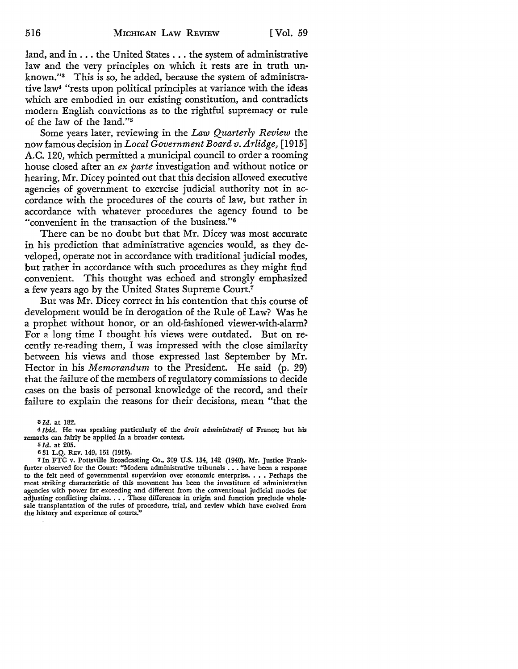land, and in ... the United States ... the system of administrative law and the very principles on which it rests are in truth unknown."3 This is so, he added, because the system of administrative law4 "rests upon political principles at variance with the ideas which are embodied in our existing constitution, and contradicts modern English convictions as to the rightful supremacy or rule of the law of the land.''5

Some years later, reviewing in the *Law Quarterly Review* the now famous decision in *Local Government Board v. Arlidge,* [1915] A.C. 120, which permitted a municipal council to order a rooming house closed after an *ex parte* investigation and without notice or hearing, Mr. Dicey pointed out that this decision allowed executive agencies of government to exercise judicial authority not in accordance with the procedures of the courts of law, but rather in accordance with whatever procedures the agency found to be "convenient in the transaction of the business."<sup>6</sup>

There can be no doubt but that Mr. Dicey was most accurate in his prediction that administrative agencies would, as they developed, operate not in accordance with traditional judicial modes, but rather in accordance with such procedures as they might find convenient. This thought was echoed and strongly emphasized a few years ago by the United States Supreme Court.<sup>7</sup>

But was Mr. Dicey correct in his contention that this course of development would be in derogation of the Rule of Law? Was he a prophet without honor, or an old-fashioned viewer-with-alarm? For a long time I thought his views were outdated. But on recently re-reading them, I was impressed with the close similarity between his views and those expressed last September by Mr. Hector in his *Memorandum* to the President. He said (p. 29) that the failure of the members of regulatory commissions to decide cases on the basis of personal knowledge of the record, and their failure to explain the reasons for their decisions, mean "that the

*3Id.* at 182.

<sup>4</sup> *Ibid.* He was speaking particularly of the *droit administratif* of France; but his remarks can fairly be applied in a broader context.

*<sup>5</sup>Id.* at 205.

<sup>6</sup> 31 L.Q. REv. 149, 151 (1915).

<sup>7</sup> In FTC v. Pottsville Broadcasting Co., 309 U.S. 134, 142 (1940), Mr. Justice Frankfurter observed for the Court: "Modern administrative tribunals . . . have been a response to the felt need of governmental supervision over economic enterprise. . . . Perhaps the most striking characteristic of this movement has been the investiture of administrative agencies with power far exceeding and different from the conventional judicial modes for adjusting conflicting claims. . . . These differences in origin and function preclude wholesale transplantation of the rules of procedure, trial, and review which have evolved from the history and experience of courts."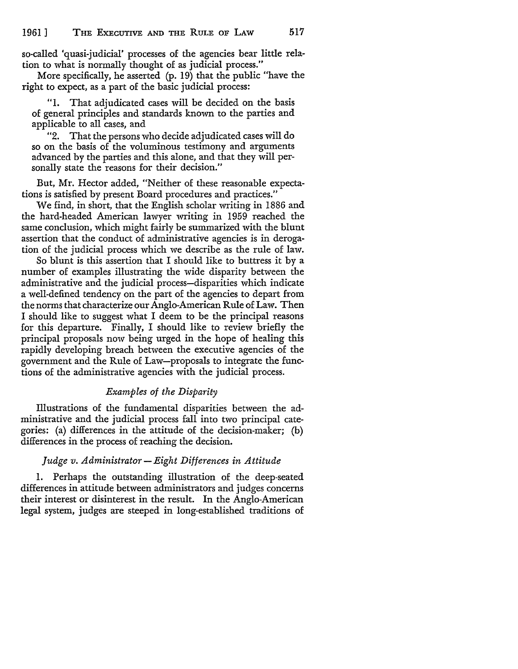so-called 'quasi-judicial' processes of the agencies bear little relation to what is normally thought of as judicial process."

More specifically, he asserted (p. 19) that the public "have the right to expect, as a part of the basic judicial process:

"I. That adjudicated cases will be decided on the basis of general principles and standards known to the parties and applicable to all cases, and

"2. That the persons who decide adjudicated cases will do so on the basis of the voluminous testimony and arguments advanced by the parties and this alone, and that they will personally state the reasons for their decision."

But, Mr. Hector added, "Neither of these reasonable expectations is satisfied by present Board procedures and practices."

We find, in short, that the English scholar writing in 1886 and the hard-headed American lawyer writing in 1959 reached the same conclusion, which might fairly be summarized with the blunt assertion that the conduct of administrative agencies is in derogation of the judicial process which we describe as the rule of law.

So blunt is this assertion that I should like to buttress it by a number of examples illustrating the wide disparity between the administrative and the judicial process-disparities which indicate a well-defined tendency on the part of the agencies to depart from the norms that characterize our Anglo-American Rule of Law. Then I should like to suggest what I deem to be the principal reasons for this departure. Finally, I should like to review briefly the principal proposals now being urged in the hope of healing this rapidly developing breach between the executive agencies of the government and the Rule of Law-proposals to integrate the functions of the administrative agencies with the judicial process.

#### *Examples of the Disparity*

Illustrations of the fundamental disparities between the administrative and the judicial process fall into two principal categories: (a) differences in the attitude of the decision-maker; (b) differences in the process of reaching the decision.

#### *Judge v. Administrator-Eight Differences in Attitude*

I. Perhaps the outstanding illustration of the deep-seated differences in attitude between administrators and judges concerns their interest or disinterest in the result. In the Anglo-American legal system, judges are steeped in long-established traditions of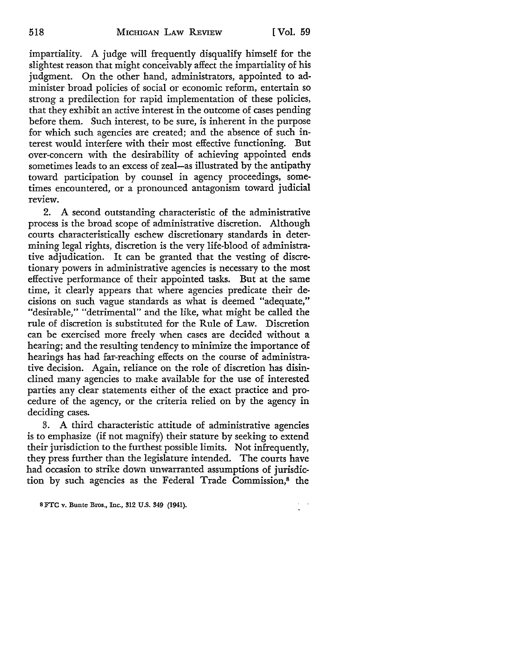impartiality. A judge will frequently disqualify himself for the slightest reason that might conceivably affect the impartiality of his judgment. On the other hand, administrators, appointed to administer broad policies of social or economic reform, entertain so strong a predilection for rapid implementation of these policies, that they exhibit an active interest in the outcome of cases pending before them. Such interest, to be sure, is inherent in the purpose for which such agencies are created; and the absence of such interest would interfere with their most effective functioning. But over-concern with the desirability of achieving appointed ends sometimes leads to an excess of zeal-as illustrated by the antipathy toward participation by counsel in agency proceedings, sometimes encountered, or a pronounced antagonism toward judicial review.

2. A second outstanding characteristic of the administrative process is the broad scope of administrative discretion. Although courts characteristically eschew discretionary standards in determining legal rights, discretion is the very life-blood of administrative adjudication. It can be granted that the vesting of discretionary powers in administrative agencies is necessary to the most effective performance of their appointed tasks. But at the same time, it clearly appears that where agencies predicate their decisions on such vague standards as what is deemed "adequate," "desirable," "detrimental" and the like, what might be called the rule of discretion is substituted for the Rule of Law. Discretion can be exercised more freely when cases are decided without a hearing; and the resulting tendency to minimize the importance of hearings has had far-reaching effects on the course of administrative decision. Again, reliance on the role of discretion has disinclined many agencies to make available for the use of interested parties any clear statements either of the exact practice and procedure of the agency, or the criteria relied on by the agency in deciding cases.

3. A third characteristic attitude of administrative agencies is to emphasize (if not magnify) their stature by seeking to extend their jurisdiction to the furthest possible limits. Not infrequently, they press further than the legislature intended. The courts have had occasion to strike down unwarranted assumptions of jurisdiction by such agencies as the Federal Trade Commission,<sup>8</sup> the

ti<br>A

BFTC v. Bunte Bros., Inc., 312 U.S. 349 (1941).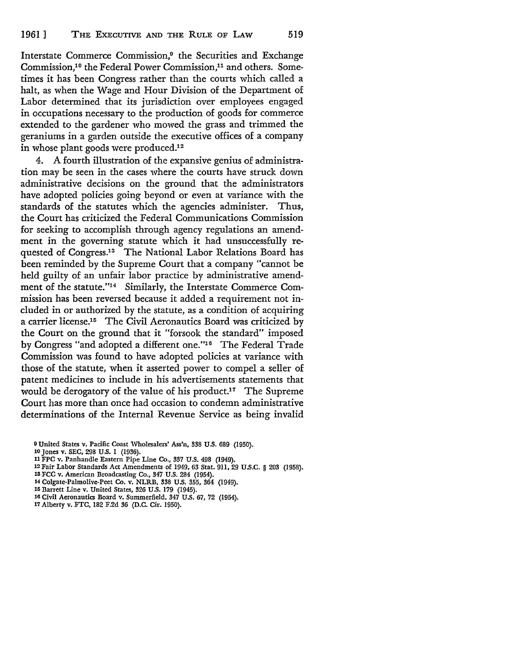Interstate Commerce Commission,<sup>9</sup> the Securities and Exchange Commission,<sup>10</sup> the Federal Power Commission,<sup>11</sup> and others. Sometimes it has been Congress rather than the courts which called a halt, as when the Wage and Hour Division of the Department of Labor determined that its jurisdiction over employees engaged in occupations necessary to the production of goods for commerce extended to the gardener who mowed the grass and trimmed the geraniums in a garden outside the executive offices of a company in whose plant goods were produced.12

4. A fourth illustration of the expansive genius of administration may be seen in the cases where the courts have struck down administrative decisions on the ground that the administrators have adopted policies going beyond or even at variance with the standards of the statutes which the agencies administer. Thus, the Court has criticized the Federal Communications Commission for seeking to accomplish through agency regulations an amendment in the governing statute which it had unsuccessfully requested of Congress.13 The National Labor Relations Board has been reminded by the Supreme Court that a company "cannot be held guilty of an unfair labor practice by administrative amendment of the statute."<sup>14</sup> Similarly, the Interstate Commerce Commission has been reversed because it added a requirement not included in or authorized by the statute, as a condition of acquiring a carrier Iicense.15 The Civil Aeronautics Board was criticized by the Court on the ground that it "forsook the standard" imposed by Congress "and adopted a different one."16 The Federal Trade Commission was found to have adopted policies at variance with those of the statute, when it asserted power to compel a seller of patent medicines to include in his advertisements statements that would be derogatory of the value of his product.<sup>17</sup> The Supreme Court has more than once had occasion to condemn administrative determinations of the Internal Revenue Service as being invalid

- 10 Jones v. SEC, 298 U.S. 1 (1936).
- 11 FPC v. Panhandle Eastern Pipe Line Co., 337 U.S. 498 (1949).
- 12 Fair Labor Standards Act Amendments of 1949, 63 Stat. 911, 29 U.S.C. § 203 (1958).
- 13 FCC v. American Broadcasting Co., 347 U.S. 284 (1954).
- 14 Colgate-Palmolive-Peet Co. v. NLRB, 338 U.S. 355, 364 (1949).
- 15 Barrett Line v. United States, 326 U.S. 179 (1945).
- 16 Civil Aeronautics Board v. Summerfield, 347 U.S. 67, 72 (1954).
- 17 Alberty v. FTC, 182 F.2d 36 (D.C. Cir. 1950).

<sup>9</sup> United States v. Pacific Coast Wholesalers' Ass'n, 338 U.S. 689 (1950).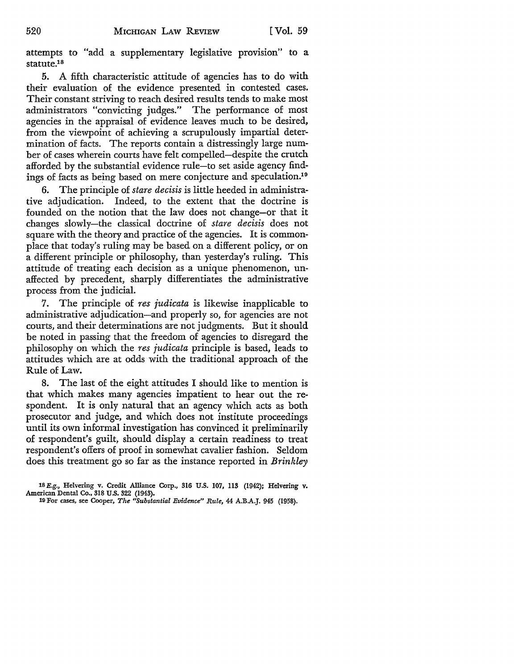attempts to "add a supplementary legislative provision" to a statute.<sup>18</sup>

5. A fifth characteristic attitude of agencies has to do with their evaluation of the evidence presented in contested cases. Their constant striving to reach desired results tends to make most administrators "convicting judges." The performance of most agencies in the appraisal of evidence leaves much to be desired, from the viewpoint of achieving a scrupulously impartial determination of facts. The reports contain a distressingly large number of cases wherein courts have felt compelled-despite the crutch afforded by the substantial evidence rule-to set aside agency findings of facts as being based on mere conjecture and speculation.19

6. The principle of *stare decisis* is little heeded in administrative adjudication. Indeed, to the extent that the doctrine is founded on the notion that the law does not change-or that it changes slowly-the classical doctrine of *stare decisis* does not square with the theory and practice of the agencies. It is commonplace that today's ruling may be based on a different policy, or on a different principle or philosophy, than yesterday's ruling. This attitude of treating each decision as a unique phenomenon, unaffected by precedent, sharply differentiates the administrative process from the judicial.

7. The principle of *res judicata* is likewise inapplicable to administrative adjudication-and properly so, for agencies are not courts, and their determinations are not judgments. But it should be noted in passing that the freedom of agencies to disregard the philosophy on which the *res judicata* principle is based, leads to attitudes which are at odds with the traditional approach of the Rule of Law.

8. The last of the eight attitudes I should like to mention is that which makes many agencies impatient to hear out the respondent. It is only natural that an agency which acts as both prosecutor and judge, and which does not institute proceedings until its own informal investigation has convinced it preliminarily of respondent's guilt, should display a certain readiness to treat respondent's offers of proof in somewhat cavalier fashion. Seldom does this treatment go so far as the instance reported in *Brinkley* 

19 For cases, see Cooper, *The "Substantial Evidence" Rule,* 44 A.B.A.J. 945 (1958).

<sup>18</sup> E.g., Helvering v. Credit Alliance Corp., 316 U.S. 107, 113 (1942): Helvering v. American Dental Co., 318 U.S. 322 (1943).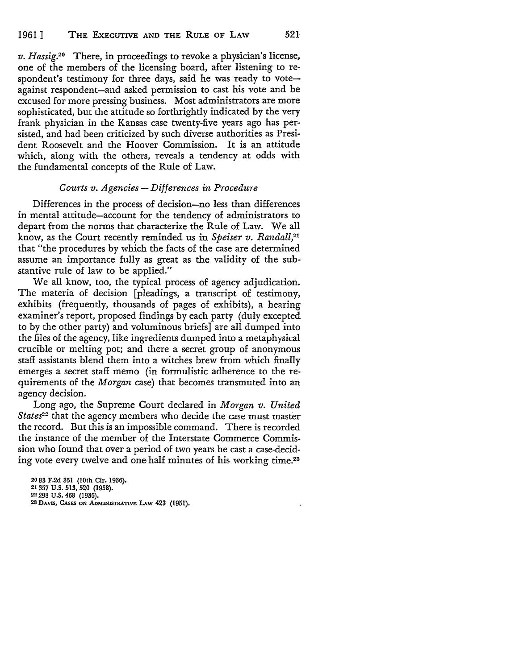*v. Hassig.20* There, in proceedings to revoke a physician's license, one of the members of the licensing board, after listening to respondent's testimony for three days, said he was ready to voteagainst respondent-and asked permission to cast his vote and be excused for more pressing business. Most administrators are more sophisticated, but the attitude so forthrightly indicated by the very frank physician in the Kansas case twenty-five years ago has persisted, and had been criticized by such diverse authorities as President Roosevelt and the Hoover Commission. It is an attitude which, along with the others, reveals a tendency at odds with the fundamental concepts of the Rule of Law.

#### *Courts v. Agencies -Differences in Procedure*

Differences in the process of decision-no less than differences in mental attitude-account for the tendency of administrators to depart from the norms that characterize the Rule of Law. We all know, as the Court recently reminded us in *Speiser v. Randall,21*  that "the procedures by which the facts of the case are determined assume an importance fully as great as the validity of the substantive rule of law to be applied."

We all know, too, the typical process of agency adjudication. The materia of decision [pleadings, a transcript of testimony, exhibits (frequently, thousands of pages of exhibits), a hearing examiner's report, proposed findings by each party (duly excepted to by the other party) and voluminous briefs] are all dumped into the files of the agency, like ingredients dumped into a metaphysical crucible or melting pot; and there a secret group of anonymous staff assistants blend them into a witches brew from which finally emerges a secret staff memo (in formulistic adherence to the requirements of the *Morgan* case) that becomes transmuted into an agency decision.

Long ago, the Supreme Court declared in *Morgan v. United States22* that the agency members who decide the case must master the record. But this is an impossible command. There is recorded the instance of the member of the Interstate Commerce Commission who found that over a period of two years he cast a case-deciding vote every twelve and one-half minutes of his working time.<sup>23</sup>

20 83 F.2d 351 (10th Cir. 1936). 21 357 U.S. 513, 520 (1958). 22 298 U.S. 468 (1936). 23 DAVIS, CAsES ON ADMINISTRATIVE LAW 423 (1951).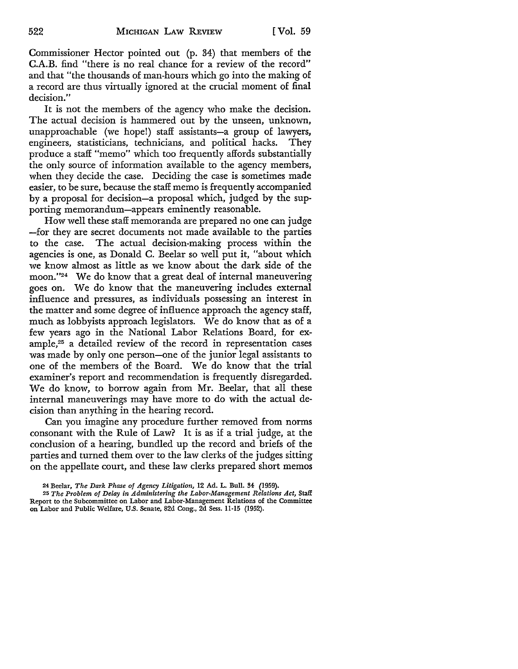Commissioner Hector pointed out (p. 34) that members of the C.A.B. find "there is no real chance for a review of the record" and that "the thousands of man-hours which go into the making of a record are thus virtually ignored at the crucial moment of final decision."

It is not the members of the agency who make the decision. The actual decision is hammered out by the unseen, unknown, unapproachable (we hope!) staff assistants-a group of lawyers, engineers, statisticians, technicians, and political hacks. They produce a staff "memo" which too frequently affords substantially the only source of information available to the agency members, when they decide the case. Deciding the case is sometimes made easier, to be sure, because the staff memo is frequently accompanied by a proposal for decision-a proposal which, judged by the supporting memorandum-appears eminently reasonable.

How well these staff memoranda are prepared no one can judge -for they are secret documents not made available to the parties to the case. The actual decision-making process within the agencies is one, as Donald C. Beelar so well put it, "about which we know almost as little as we know about the dark side of the moon."24 We do know that a great deal of internal maneuvering goes on. We do know that the maneuvering includes external influence and pressures, as individuals possessing an interest in the matter and some degree of influence approach the agency staff, much as lobbyists approach legislators. We do know that as of a few years ago in the National Labor Relations Board, for example,<sup>25</sup> a detailed review of the record in representation cases was made by only one person-one of the junior legal assistants to one of the members of the Board. We do know that the trial examiner's report and recommendation is frequently disregarded. We do know, to borrow again from Mr. Beelar, that all these internal maneuverings may have more to do with the actual decision than anything in the hearing record.

Can you imagine any procedure further removed from norms consonant with the Rule of Law? It is as if a trial judge, at the conclusion of a hearing, bundled up the record and briefs of the parties and turned them over to the law clerks of the judges sitting on the appellate court, and these law clerks prepared short memos

<sup>24</sup> Beelar, *The Dark Phase of Agency Litigation,* 12 Ad. L. Bull. 34 (1959).

<sup>25</sup> *The Problem of Delay in Administering the Labor-Management Relations Act,* Staff Report to the Subcommittee on Labor and Labor-Management Relations of the Committee on Labor and Public Welfare, U.S. Senate, 82d Cong., 2d Sess. ll-15 (1952).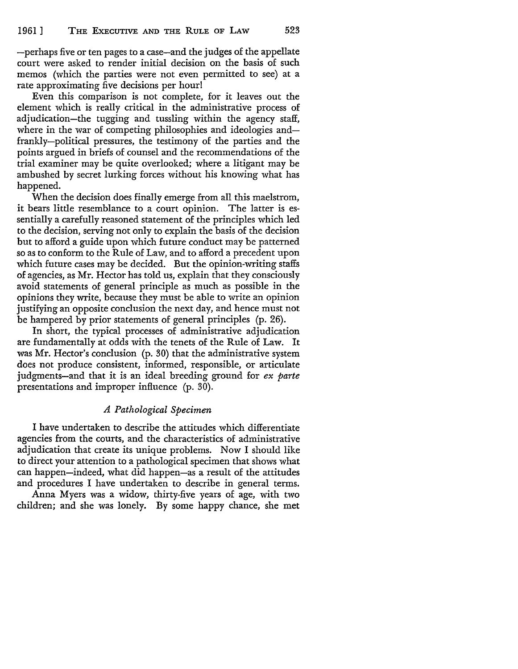-perhaps five or ten pages to a case-and the judges of the appellate court were asked to render initial decision on the basis of such memos (which the parties were not even permitted to see) at a rate approximating five decisions per houri

Even this comparison is not complete, for it leaves out the element which is really critical in the administrative process of adjudication-the tugging and tussling within the agency staff, where in the war of competing philosophies and ideologies andfrankly-political pressures, the testimony of the parties and the points argued in briefs of counsel and the recommendations of the trial examiner may be quite overlooked; where a litigant may be ambushed by secret lurking forces without his knowing what has happened.

When the decision does finally emerge from all this maelstrom, it bears little resemblance to a court opinion. The latter is essentially a carefully reasoned statement of the principles which led to the decision, serving not only to explain the basis of the decision but to afford a guide upon which future conduct may be patterned so as to conform to the Rule of Law, and to afford a precedent upon which future cases may be decided. But the opinion-writing staffs of agencies, as Mr. Hector has told us, explain that they consciously avoid statements of general principle as much as possible in the opinions they write, because they must be able to write an opinion justifying an opposite conclusion the next day, and hence must not be hampered by prior statements of general principles (p. 26).

In short, the typical processes of administrative adjudication are fundamentally at odds with the tenets of the Rule of Law. It was Mr. Hector's conclusion (p. 30) that the administrative system does not produce consistent, informed, responsible, or articulate judgments-and that it is an ideal breeding ground for *ex parte*  presentations and improper influence (p. 30).

#### *A Pathological Specimen*

I have undertaken to describe the attitudes which differentiate agencies from the courts, and the characteristics of administrative adjudication that create its unique problems. Now I should like to direct your attention to a pathological specimen that shows what can happen-indeed, what did happen-as a result of the attitudes and procedures I have undertaken to describe in general terms.

Anna Myers was a widow, thirty-five years of age, with two children; and she was lonely. By some happy chance, she met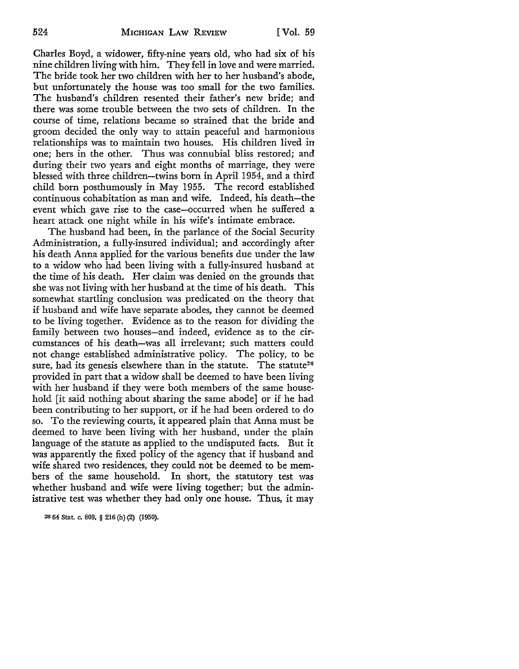Charles Boyd, a widower, fifty-nine years old, who had six of his nine children living with him. They fell in love and were married. The bride took her two children with her to her husband's abode, but unfortunately the house was too small for the two families. The husband's children resented their father's new bride; and there was some trouble between the two sets of children. In the course of time, relations became so strained that the bride and groom decided the only way to attain peaceful and harmonious relationships was to maintain two houses. His children lived in one; hers in the other. Thus was connubial bliss restored; and during their two years and eight months of marriage, they were blessed with three children-twins born in April 1954, and a third child born posthumously in May 1955. The record established continuous cohabitation as man and wife. Indeed, his death-the event which gave rise to the case-occurred when he suffered a heart attack one night while in his wife's intimate embrace.

The husband had been, in the parlance of the Social Security Administration, a fully-insured individual; and accordingly after his death Anna applied for the various benefits due under the law to a widow who had been living with a fully-insured husband at the time of his death. Her claim was denied on the grounds that she was not living with her husband at the time of his death. This somewhat startling conclusion was predicated on the theory that if husband and wife have separate abodes, they cannot be deemed to be living together. Evidence as to the reason for dividing the family between two houses-and indeed, evidence as to the circumstances of his death-was all irrelevant; such matters could not change established administrative policy. The policy, to be sure, had its genesis elsewhere than in the statute. The statute<sup>26</sup> provided in part that a widow shall be deemed to have been living with her husband if they were both members of the same household [it said nothing about sharing the same abode] or if he had been contributing to her support, or if he had been ordered to do so. To the reviewing courts, it appeared plain that Anna must be deemed to have been living with her husband, under the plain language of the statute as applied to the undisputed facts. But it was apparently the fixed policy of the agency that if husband and wife shared two residences, they could not be deemed to be members of the same household. In short, the statutory test was whether husband and wife were living together; but the administrative test was whether they had only one house. Thus, it may

26 64 Stat. c. 809, § 216 (h) (2) (1950).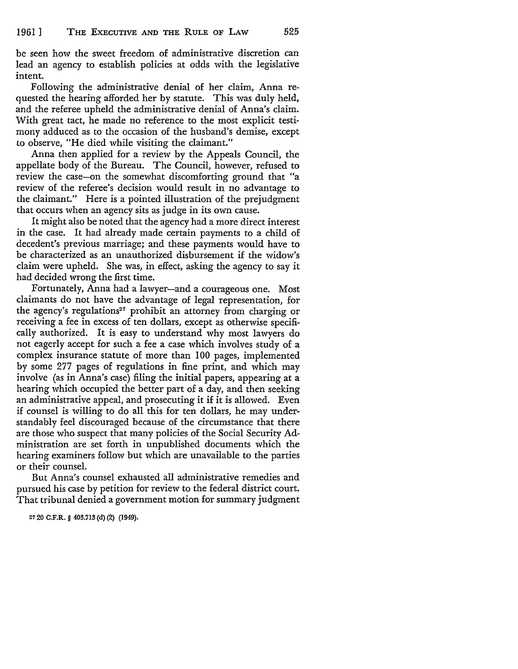be seen how the sweet freedom of administrative discretion can lead an agency to establish policies at odds with the legislative intent.

Following the administrative denial of her claim, Anna requested the hearing afforded her by statute. This was duly held, and the referee upheld the administrative denial of Anna's claim. With great tact, he made no reference to the most explicit testimony adduced as to the occasion of the husband's demise, except to observe, "He died while visiting the claimant."

Anna then applied for a review by the Appeals Council, the appellate body of the Bureau. The Council, however, refused to review the case-on the somewhat discomforting ground that "a review of the referee's decision would result in no advantage to the claimant." Here is a pointed illustration of the prejudgment that occurs when an agency sits as judge in its own cause.

It might also be noted that the agency had a more direct interest in the case. It had already made certain payments to a child of decedent's previous marriage; and these payments would have to be characterized as an unauthorized disbursement if the widow's claim were upheld. She was, in effect, asking the agency to say it had decided wrong the first time.

Fortunately, Anna had a lawyer-and a courageous one. Most claimants do not have the advantage of legal representation, for the agency's regulations<sup>27</sup> prohibit an attorney from charging or receiving a fee in excess of ten dollars, except as otherwise specifically authorized. It is easy to understand why most lawyers do not eagerly accept for such a fee a case which involves study of a complex insurance statute of more than 100 pages, implemented by some 277 pages of regulations in fine print, and which may involve (as in Anna's case) filing the initial papers, appearing at a hearing which occupied the better part of a day, and then seeking an administrative appeal, and prosecuting it if it is allowed. Even if counsel is willing to do all this for ten dollars, he may understandably feel discouraged because of the circumstance that there are those who suspect that many policies of the Social Security Administration are set forth in unpublished documents which the hearing examiners follow but which are unavailable to the parties or their counsel.

But Anna's counsel exhausted all administrative remedies and pursued his case by petition for review to the federal district court. That tribunal denied a government motion for summary judgment

27 20 C.F.R. § 403.713 (d) (2) (1949).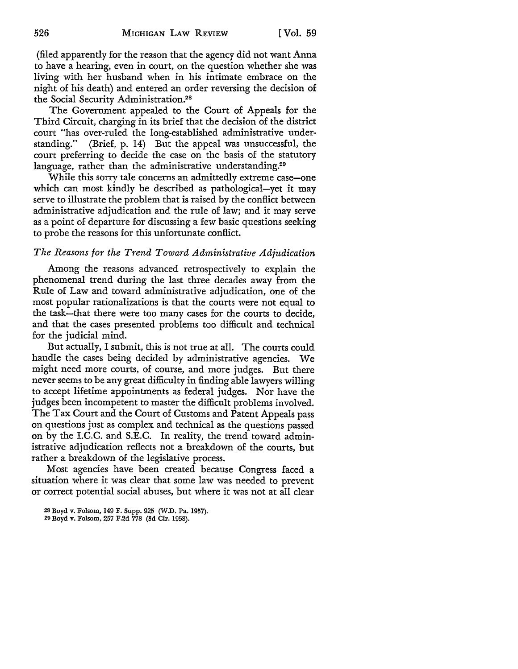(filed apparently for the reason that the agency did not want Anna to have a hearing, even in court, on the question whether she was living with her husband when in his intimate embrace on the night of his death) and entered an order reversing the decision of the Social Security Administration.28

The Government appealed to the Court of Appeals for the Third Circuit, charging in its brief that the decision of the district court "has over-ruled the long-established administrative understanding." (Brief, p. 14) But the appeal was unsuccessful, the court preferring to decide the case on the basis of the statutory language, rather than the administrative understanding.<sup>29</sup>

While this sorry tale concerns an admittedly extreme case-one which can most kindly be described as pathological—yet it may serve to illustrate the problem that is raised by the conflict between administrative adjudication and the rule of law; and it may serve as a point of departure for discussing a few basic questions seeking to probe the reasons for this unfortunate conflict.

## *The Reasons for the Trend Toward Administrative Adjudication*

Among the reasons advanced retrospectively to explain the phenomenal trend during the last three decades away from the Rule of Law and toward administrative adjudication, one of the most popular rationalizations is that the courts were not equal to the task-that there were too many cases for the courts to decide, and that the cases presented problems too difficult and technical for the judicial mind.

But actually, I submit, this is not true at all. The courts could handle the cases being decided by administrative agencies. We might need more courts, of course, and more judges. But there never seems to be any great difficulty in finding able lawyers willing to accept lifetime appointments as federal judges. Nor have the judges been incompetent to master the difficult problems involved. The Tax Court and the Court of Customs and Patent Appeals pass on questions just as complex and technical as the questions passed on by the I.C.C. and S.E.C. In reality, the trend toward administrative adjudication reflects not a breakdown of the courts, but rather a breakdown of the legislative process.

Most agencies have been created because Congress faced a situation where it was clear that some law was needed to prevent or correct potential social abuses, but where it was not at all clear

<sup>28</sup>Boyd v. Folsom, 149 F. Supp. 925 (W.D. Pa. 1957).

<sup>20</sup> Boyd v. Folsom, 257 F.2d 778 (3d Cir. 1958).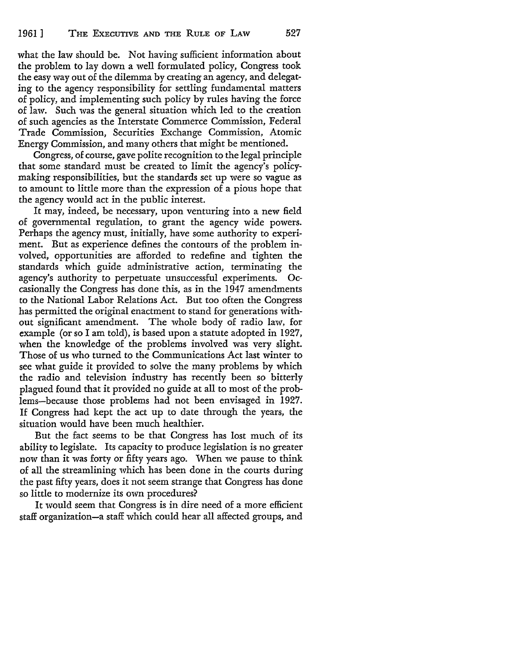what the law should be. Not having sufficient information about the problem to lay down a well formulated policy, Congress took the easy way out of the dilemma by creating an agency, and delegating to the agency responsibility for settling fundamental matters of policy, and implementing such policy by rules having the force of law. Such was the general situation which led to the creation of such agencies as the Interstate Commerce Commission, Federal Trade Commission, Securities Exchange Commission, Atomic Energy Commission, and many others that might be mentioned.

Congress, of course, gave polite recognition to the legal principle that some standard must be created to limit the agency's policymaking responsibilities, but the standards set up were so vague as to amount to little more than the expression of a pious hope that the agency would act in the public interest.

It may, indeed, be necessary, upon venturing into a new field of governmental regulation, to grant the agency wide powers. Perhaps the agency must, initially, have some authority to experiment. But as experience defines the contours of the problem involved, opportunities are afforded to redefine and tighten the standards which guide administrative action, terminating the agency's authority to perpetuate unsuccessful experiments. Occasionally the Congress has done this, as in the 1947 amendments to the National Labor Relations Act. But too often the Congress has permitted the original enactment to stand for generations without significant amendment. The whole body of radio law, for example (or so I am told), is based upon a statute adopted in 1927, when the knowledge of the problems involved was very slight. Those of us who turned to the Communications Act last winter to see what guide it provided to solve the many problems by which the radio and television industry has recently been so bitterly plagued found that it provided no guide at all to most of the problems-because those problems had not been envisaged in 1927. If Congress had kept the act up to date through the years, the situation would have been much healthier.

But the fact seems to be that Congress has lost much of its ability *to* legislate. Its capacity to produce legislation is no greater now than it was forty or fifty years ago. When we pause to think of all the streamlining which has been done in the courts during the past fifty years, does it not seem strange that Congress has done so little to modernize its own procedures?

It would seem that Congress is in dire need of a more efficient staff organization-a staff which could hear all affected groups, and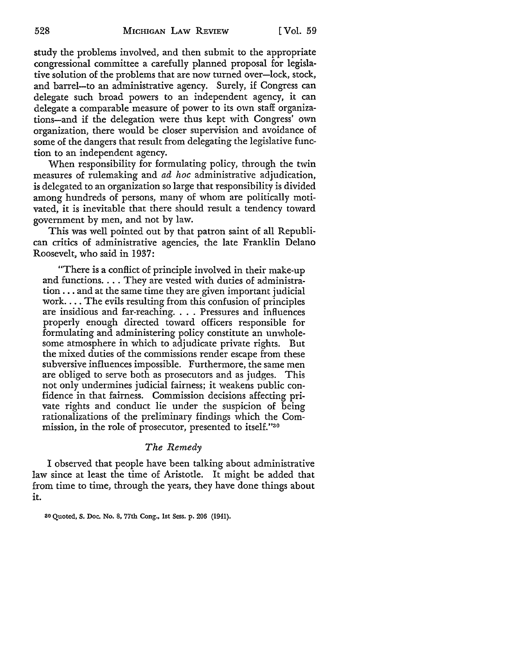study the problems involved, and then submit to the appropriate congressional committee a carefully planned proposal for legislative solution of the problems that are now turned over-lock, stock, and barrel-to an administrative agency. Surely, if Congress can delegate such broad powers to an independent agency, it can delegate a comparable measure of power to its own staff organizations-and if the delegation were thus kept with Congress' own organization, there would be closer supervision and avoidance of some of the dangers that result from delegating the legislative function to an independent agency.

When responsibility for formulating policy, through the twin measures of rulemaking and *ad hoc* administrative adjudication, is delegated to an organization so large that responsibility is divided among hundreds of persons, many of whom are politically motivated, it is inevitable that there should result a tendency toward government by men, and not by law.

This was well pointed out by that patron saint of all Republican critics of administrative agencies, the late Franklin Delano Roosevelt, who said in 1937:

"There is a conflict of principle involved in their make-up and functions.... They are vested with duties of administration ... and at the same time they are given important judicial work .... The evils resulting from this confusion of principles are insidious and far-reaching.  $\ldots$  Pressures and influences properly enough directed toward officers responsible for formulating and administering policy constitute an unwholesome atmosphere in which to adjudicate private rights. But the mixed duties of the commissions render escape from these subversive influences impossible. Furthermore, the same men are obliged to serve both as prosecutors and as judges. This not only undermines judicial fairness; it weakens public confidence in that fairness. Commission decisions affecting private rights and conduct lie under the suspicion of being rationalizations of the preliminary findings which the Commission, in the role of prosecutor, presented to itself."30

## *The Remedy*

I observed that people have been talking about administrative law since at least the time of Aristotle. It might be added that from time to time, through the years, they have done things about it.

ao Quoted, S. Doc. No. 8, 77th Cong., 1st Sess. p. 206 (1941).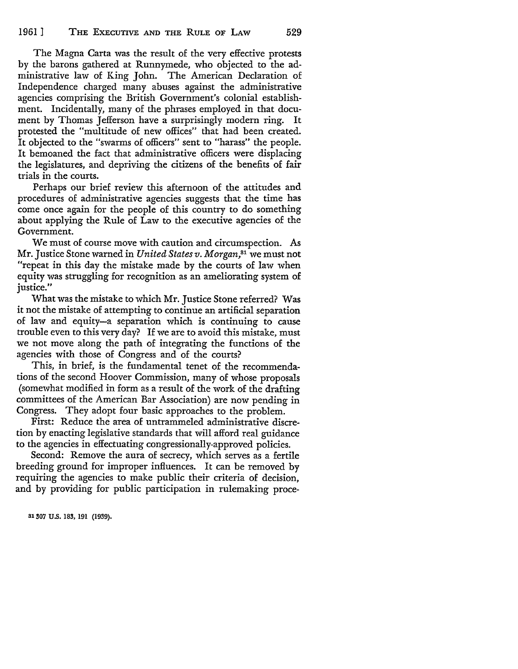The Magna Carta was the result of the very effective protests by the barons gathered at Runnymede, who objected to the administrative law of King John. The American Declaration of Independence charged many abuses against the administrative agencies comprising the British Government's colonial establishment. Incidentally, many of the phrases employed in that document by Thomas Jefferson have a surprisingly modern ring. It protested the "multitude of new offices" that had been created. It objected to the "swarms of officers" sent to "harass" the people. It bemoaned the fact that administrative officers were displacing the legislatures, and depriving the citizens of the benefits of fair trials in the courts.

Perhaps our brief review this afternoon of the attitudes and procedures of administrative agencies suggests that the time has come once again for the people of this country to do something about applying the Rule of Law to the executive agencies of the Government.

We must of course move with caution and circumspection. As Mr. Justice Stone warned in *United Statesv. Morgan,31* we must not "repeat in this day the mistake made by the courts of law when equity was struggling for recognition as an ameliorating system of justice."

What was the mistake to which Mr. Justice Stone referred? Was it not the mistake of attempting to continue an artificial separation of law and equity-a separation which is continuing to cause trouble even to this very day? If we are to avoid this mistake, must we not move along the path of integrating the functions of the agencies with those of Congress and of the courts?

This, in brief, is the fundamental tenet of the recommendations of the second Hoover Commission, many of whose proposals (somewhat modified in form as a result of the work of the drafting committees of the American Bar Association) are now pending in Congress. They adopt four basic approaches to the problem.

First: Reduce the area of untrammeled administrative discretion by enacting legislative standards that will afford real guidance to the agencies in effectuating congressionally-approved policies.

Second: Remove the aura of secrecy, which serves as a fertile breeding ground for improper influences. It can be removed by requiring the agencies to make public their criteria of decision, and by providing for public participation in rulemaking proce-

81 307 U .s. 183, 191 (1939).